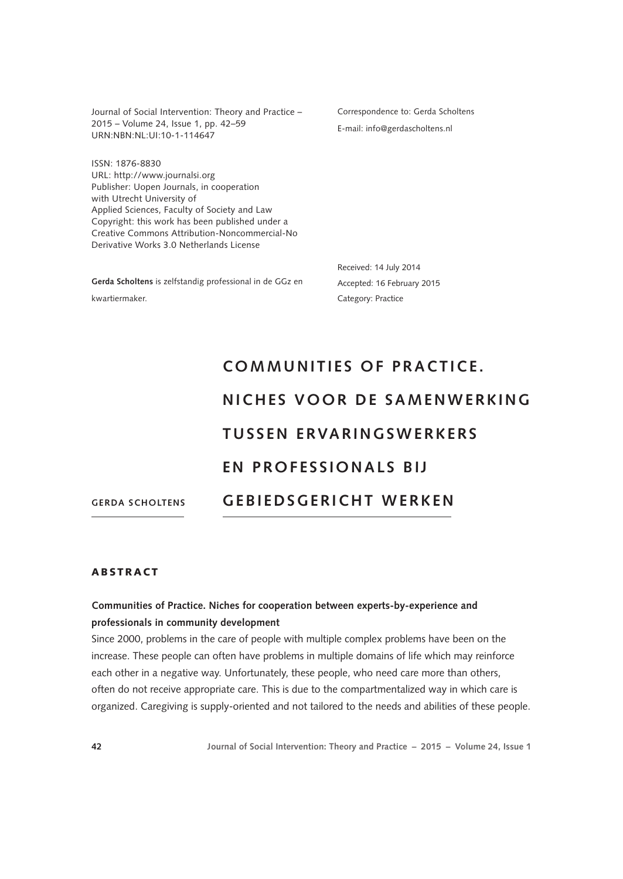Journal of Social Intervention: Theory and Practice – 2015 – Volume 24, Issue 1, pp. 42–59 URN:NBN:NL:UI:10-1-114647

Correspondence to: Gerda Scholtens E-mail: info@gerdascholtens.nl

ISSN: 1876-8830 URL: http://www.journalsi.org Publisher: Uopen Journals, in cooperation with Utrecht University of Applied Sciences, Faculty of Society and Law Copyright: this work has been published under a Creative Commons Attribution-Noncommercial-No Derivative Works 3.0 Netherlands License

**Gerda Scholtens** is zelfstandig professional in de GGz en kwartiermaker.

Received: 14 July 2014 Accepted: 16 February 2015 Category: Practice

# **GERDA SCHOLTENS COMMUNITIES OF PRACTICE. NICHES VOOR DE SAMENWERKING T U S S E N E RVA R I N G S W E R K E R S EN PROFESSIONALS BIJ GEBIEDSGERICHT WERKEN**

## ABSTRACT

# **Communities of Practice. Niches for cooperation between experts-by-experience and professionals in community development**

Since 2000, problems in the care of people with multiple complex problems have been on the increase. These people can often have problems in multiple domains of life which may reinforce each other in a negative way. Unfortunately, these people, who need care more than others, often do not receive appropriate care. This is due to the compartmentalized way in which care is organized. Caregiving is supply-oriented and not tailored to the needs and abilities of these people.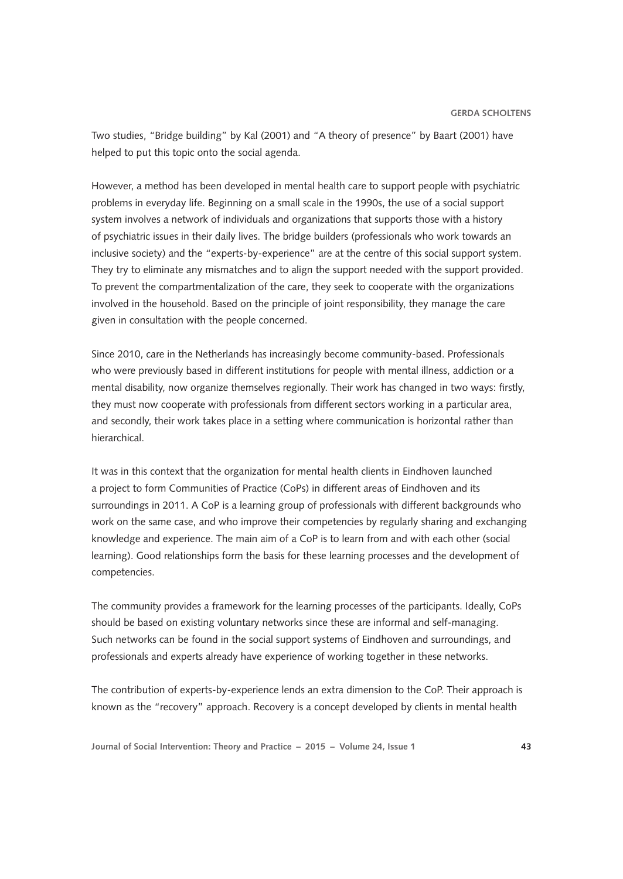Two studies, "Bridge building" by Kal (2001) and "A theory of presence" by Baart (2001) have helped to put this topic onto the social agenda.

However, a method has been developed in mental health care to support people with psychiatric problems in everyday life. Beginning on a small scale in the 1990s, the use of a social support system involves a network of individuals and organizations that supports those with a history of psychiatric issues in their daily lives. The bridge builders (professionals who work towards an inclusive society) and the "experts-by-experience" are at the centre of this social support system. They try to eliminate any mismatches and to align the support needed with the support provided. To prevent the compartmentalization of the care, they seek to cooperate with the organizations involved in the household. Based on the principle of joint responsibility, they manage the care given in consultation with the people concerned.

Since 2010, care in the Netherlands has increasingly become community-based. Professionals who were previously based in different institutions for people with mental illness, addiction or a mental disability, now organize themselves regionally. Their work has changed in two ways: firstly, they must now cooperate with professionals from different sectors working in a particular area, and secondly, their work takes place in a setting where communication is horizontal rather than hierarchical.

It was in this context that the organization for mental health clients in Eindhoven launched a project to form Communities of Practice (CoPs) in different areas of Eindhoven and its surroundings in 2011. A CoP is a learning group of professionals with different backgrounds who work on the same case, and who improve their competencies by regularly sharing and exchanging knowledge and experience. The main aim of a CoP is to learn from and with each other (social learning). Good relationships form the basis for these learning processes and the development of competencies.

The community provides a framework for the learning processes of the participants. Ideally, CoPs should be based on existing voluntary networks since these are informal and self-managing. Such networks can be found in the social support systems of Eindhoven and surroundings, and professionals and experts already have experience of working together in these networks.

The contribution of experts-by-experience lends an extra dimension to the CoP. Their approach is known as the "recovery" approach. Recovery is a concept developed by clients in mental health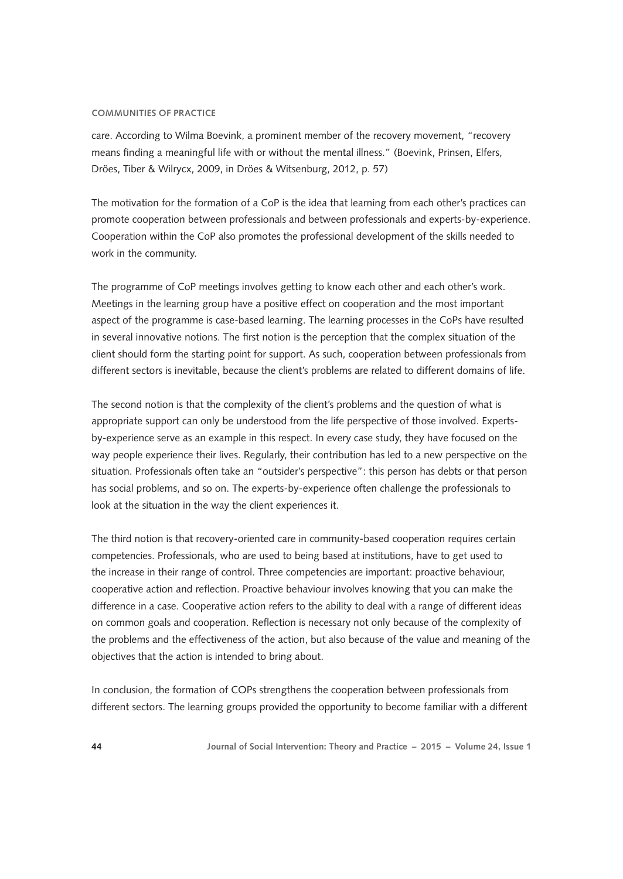care. According to Wilma Boevink, a prominent member of the recovery movement, "recovery means finding a meaningful life with or without the mental illness." (Boevink, Prinsen, Elfers, Dröes, Tiber & Wilrycx, 2009, in Dröes & Witsenburg, 2012, p. 57)

The motivation for the formation of a CoP is the idea that learning from each other's practices can promote cooperation between professionals and between professionals and experts-by-experience. Cooperation within the CoP also promotes the professional development of the skills needed to work in the community.

The programme of CoP meetings involves getting to know each other and each other's work. Meetings in the learning group have a positive effect on cooperation and the most important aspect of the programme is case-based learning. The learning processes in the CoPs have resulted in several innovative notions. The first notion is the perception that the complex situation of the client should form the starting point for support. As such, cooperation between professionals from different sectors is inevitable, because the client's problems are related to different domains of life.

The second notion is that the complexity of the client's problems and the question of what is appropriate support can only be understood from the life perspective of those involved. Expertsby-experience serve as an example in this respect. In every case study, they have focused on the way people experience their lives. Regularly, their contribution has led to a new perspective on the situation. Professionals often take an "outsider's perspective": this person has debts or that person has social problems, and so on. The experts-by-experience often challenge the professionals to look at the situation in the way the client experiences it.

The third notion is that recovery-oriented care in community-based cooperation requires certain competencies. Professionals, who are used to being based at institutions, have to get used to the increase in their range of control. Three competencies are important: proactive behaviour, cooperative action and reflection. Proactive behaviour involves knowing that you can make the difference in a case. Cooperative action refers to the ability to deal with a range of different ideas on common goals and cooperation. Reflection is necessary not only because of the complexity of the problems and the effectiveness of the action, but also because of the value and meaning of the objectives that the action is intended to bring about.

In conclusion, the formation of COPs strengthens the cooperation between professionals from different sectors. The learning groups provided the opportunity to become familiar with a different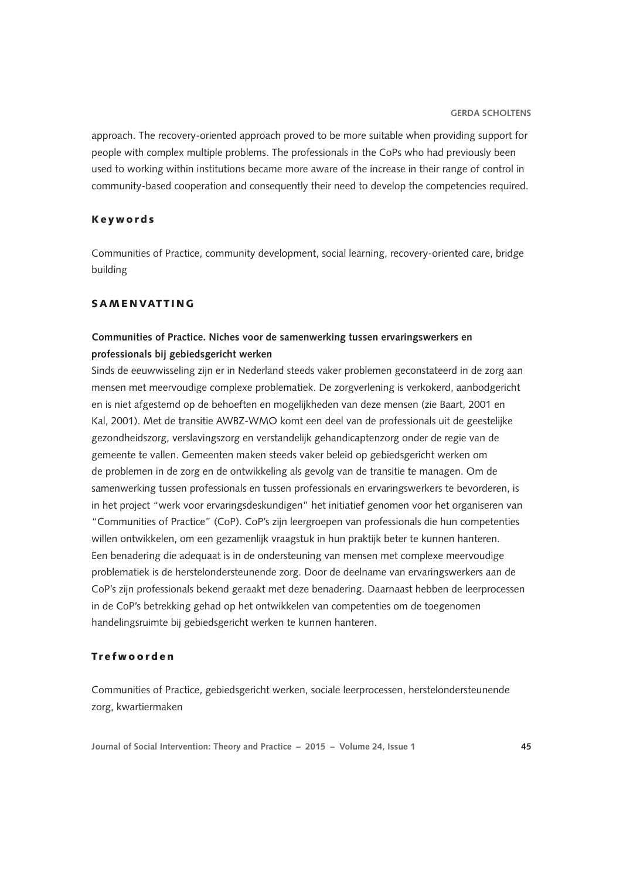approach. The recovery-oriented approach proved to be more suitable when providing support for people with complex multiple problems. The professionals in the CoPs who had previously been used to working within institutions became more aware of the increase in their range of control in community-based cooperation and consequently their need to develop the competencies required.

## Keywords

Communities of Practice, community development, social learning, recovery-oriented care, bridge building

# **SAMENVATTING**

# **Communities of Practice. Niches voor de samenwerking tussen ervaringswerkers en professionals bij gebiedsgericht werken**

Sinds de eeuwwisseling zijn er in Nederland steeds vaker problemen geconstateerd in de zorg aan mensen met meervoudige complexe problematiek. De zorgverlening is verkokerd, aanbodgericht en is niet afgestemd op de behoeften en mogelijkheden van deze mensen (zie Baart, 2001 en Kal, 2001). Met de transitie AWBZ-WMO komt een deel van de professionals uit de geestelijke gezondheidszorg, verslavingszorg en verstandelijk gehandicaptenzorg onder de regie van de gemeente te vallen. Gemeenten maken steeds vaker beleid op gebiedsgericht werken om de problemen in de zorg en de ontwikkeling als gevolg van de transitie te managen. Om de samenwerking tussen professionals en tussen professionals en ervaringswerkers te bevorderen, is in het project "werk voor ervaringsdeskundigen" het initiatief genomen voor het organiseren van "Communities of Practice" (CoP). CoP's zijn leergroepen van professionals die hun competenties willen ontwikkelen, om een gezamenlijk vraagstuk in hun praktijk beter te kunnen hanteren. Een benadering die adequaat is in de ondersteuning van mensen met complexe meervoudige problematiek is de herstelondersteunende zorg. Door de deelname van ervaringswerkers aan de CoP's zijn professionals bekend geraakt met deze benadering. Daarnaast hebben de leerprocessen in de CoP's betrekking gehad op het ontwikkelen van competenties om de toegenomen handelingsruimte bij gebiedsgericht werken te kunnen hanteren.

## Trefwoorden

Communities of Practice, gebiedsgericht werken, sociale leerprocessen, herstelondersteunende zorg, kwartiermaken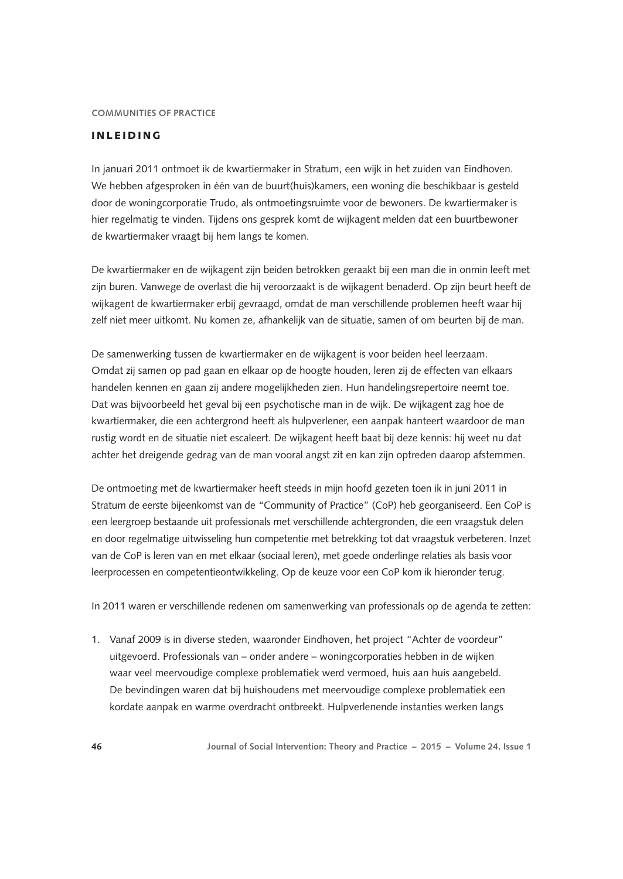# INLEIDING

In januari 2011 ontmoet ik de kwartiermaker in Stratum, een wijk in het zuiden van Eindhoven. We hebben afgesproken in één van de buurt(huis)kamers, een woning die beschikbaar is gesteld door de woningcorporatie Trudo, als ontmoetingsruimte voor de bewoners. De kwartiermaker is hier regelmatig te vinden. Tijdens ons gesprek komt de wijkagent melden dat een buurtbewoner de kwartiermaker vraagt bij hem langs te komen.

De kwartiermaker en de wijkagent zijn beiden betrokken geraakt bij een man die in onmin leeft met zijn buren. Vanwege de overlast die hij veroorzaakt is de wijkagent benaderd. Op zijn beurt heeft de wijkagent de kwartiermaker erbij gevraagd, omdat de man verschillende problemen heeft waar hij zelf niet meer uitkomt. Nu komen ze, afhankelijk van de situatie, samen of om beurten bij de man.

De samenwerking tussen de kwartiermaker en de wijkagent is voor beiden heel leerzaam. Omdat zij samen op pad gaan en elkaar op de hoogte houden, leren zij de effecten van elkaars handelen kennen en gaan zij andere mogelijkheden zien. Hun handelingsrepertoire neemt toe. Dat was bijvoorbeeld het geval bij een psychotische man in de wijk. De wijkagent zag hoe de kwartiermaker, die een achtergrond heeft als hulpverlener, een aanpak hanteert waardoor de man rustig wordt en de situatie niet escaleert. De wijkagent heeft baat bij deze kennis: hij weet nu dat achter het dreigende gedrag van de man vooral angst zit en kan zijn optreden daarop afstemmen.

De ontmoeting met de kwartiermaker heeft steeds in mijn hoofd gezeten toen ik in juni 2011 in Stratum de eerste bijeenkomst van de "Community of Practice" (CoP) heb georganiseerd. Een CoP is een leergroep bestaande uit professionals met verschillende achtergronden, die een vraagstuk delen en door regelmatige uitwisseling hun competentie met betrekking tot dat vraagstuk verbeteren. Inzet van de CoP is leren van en met elkaar (sociaal leren), met goede onderlinge relaties als basis voor leerprocessen en competentieontwikkeling. Op de keuze voor een CoP kom ik hieronder terug.

In 2011 waren er verschillende redenen om samenwerking van professionals op de agenda te zetten:

1. Vanaf 2009 is in diverse steden, waaronder Eindhoven, het project "Achter de voordeur" uitgevoerd. Professionals van – onder andere – woningcorporaties hebben in de wijken waar veel meervoudige complexe problematiek werd vermoed, huis aan huis aangebeld. De bevindingen waren dat bij huishoudens met meervoudige complexe problematiek een kordate aanpak en warme overdracht ontbreekt. Hulpverlenende instanties werken langs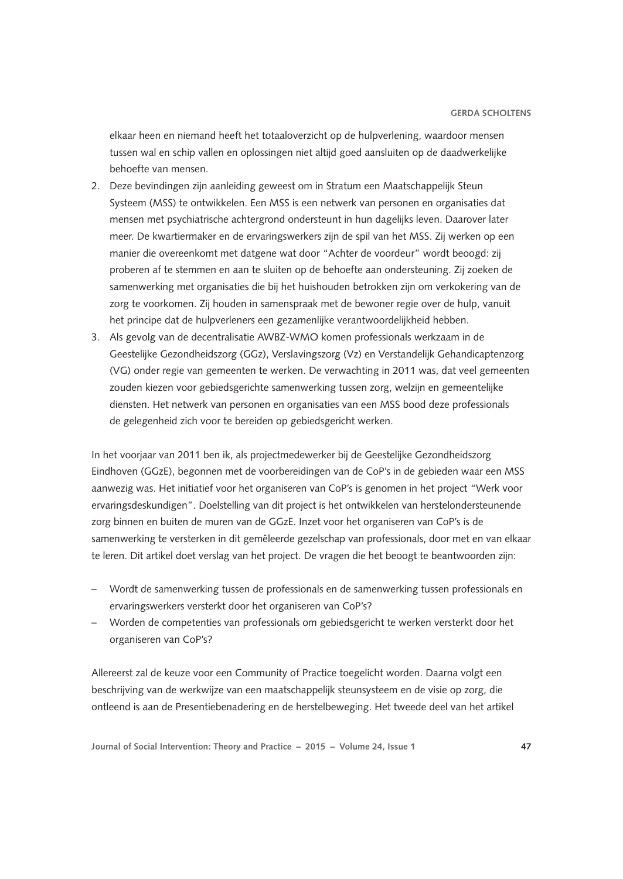elkaar heen en niemand heeft het totaaloverzicht op de hulpverlening, waardoor mensen tussen wal en schip vallen en oplossingen niet altijd goed aansluiten op de daadwerkelijke behoefte van mensen.

- 2. Deze bevindingen zijn aanleiding geweest om in Stratum een Maatschappelijk Steun Systeem (MSS) te ontwikkelen. Een MSS is een netwerk van personen en organisaties dat mensen met psychiatrische achtergrond ondersteunt in hun dagelijks leven. Daarover later meer. De kwartiermaker en de ervaringswerkers zijn de spil van het MSS. Zij werken op een manier die overeenkomt met datgene wat door "Achter de voordeur" wordt beoogd: zij proberen af te stemmen en aan te sluiten op de behoefte aan ondersteuning. Zij zoeken de samenwerking met organisaties die bij het huishouden betrokken zijn om verkokering van de zorg te voorkomen. Zij houden in samenspraak met de bewoner regie over de hulp, vanuit het principe dat de hulpverleners een gezamenlijke verantwoordelijkheid hebben.
- 3. Als gevolg van de decentralisatie AWBZ-WMO komen professionals werkzaam in de Geestelijke Gezondheidszorg (GGz), Verslavingszorg (Vz) en Verstandelijk Gehandicaptenzorg (VG) onder regie van gemeenten te werken. De verwachting in 2011 was, dat veel gemeenten zouden kiezen voor gebiedsgerichte samenwerking tussen zorg, welzijn en gemeentelijke diensten. Het netwerk van personen en organisaties van een MSS bood deze professionals de gelegenheid zich voor te bereiden op gebiedsgericht werken.

In het voorjaar van 2011 ben ik, als projectmedewerker bij de Geestelijke Gezondheidszorg Eindhoven (GGzE), begonnen met de voorbereidingen van de CoP's in de gebieden waar een MSS aanwezig was. Het initiatief voor het organiseren van CoP's is genomen in het project "Werk voor ervaringsdeskundigen". Doelstelling van dit project is het ontwikkelen van herstelondersteunende zorg binnen en buiten de muren van de GGzE. Inzet voor het organiseren van CoP's is de samenwerking te versterken in dit gemêleerde gezelschap van professionals, door met en van elkaar te leren. Dit artikel doet verslag van het project. De vragen die het beoogt te beantwoorden zijn:

- Wordt de samenwerking tussen de professionals en de samenwerking tussen professionals en ervaringswerkers versterkt door het organiseren van CoP's?
- Worden de competenties van professionals om gebiedsgericht te werken versterkt door het organiseren van CoP's?

Allereerst zal de keuze voor een Community of Practice toegelicht worden. Daarna volgt een beschrijving van de werkwijze van een maatschappelijk steunsysteem en de visie op zorg, die ontleend is aan de Presentiebenadering en de herstelbeweging. Het tweede deel van het artikel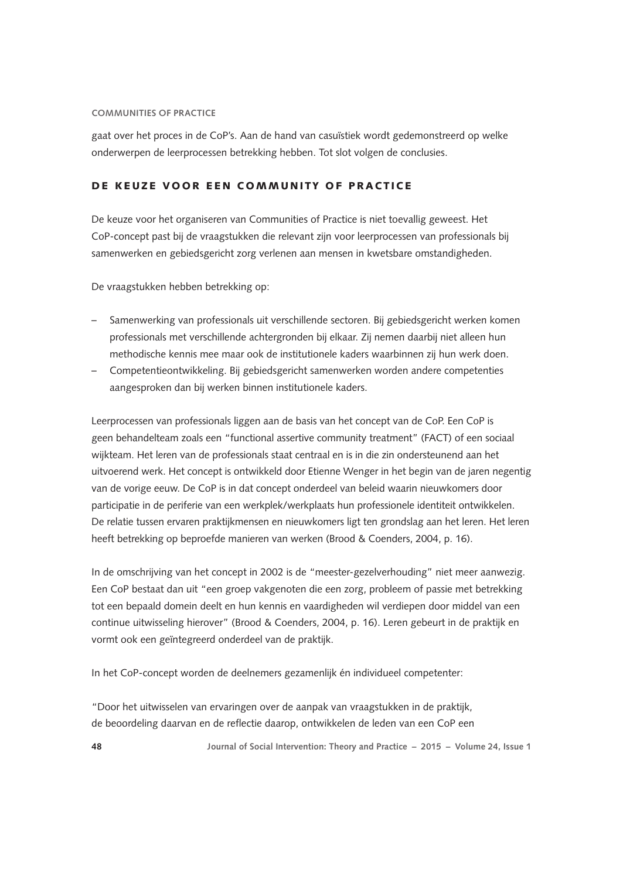gaat over het proces in de CoP's. Aan de hand van casuïstiek wordt gedemonstreerd op welke onderwerpen de leerprocessen betrekking hebben. Tot slot volgen de conclusies.

# DE KEUZE VOOR EEN COMMUNITY OF PRACTICE

De keuze voor het organiseren van Communities of Practice is niet toevallig geweest. Het CoP-concept past bij de vraagstukken die relevant zijn voor leerprocessen van professionals bij samenwerken en gebiedsgericht zorg verlenen aan mensen in kwetsbare omstandigheden.

De vraagstukken hebben betrekking op:

- Samenwerking van professionals uit verschillende sectoren. Bij gebiedsgericht werken komen professionals met verschillende achtergronden bij elkaar. Zij nemen daarbij niet alleen hun methodische kennis mee maar ook de institutionele kaders waarbinnen zij hun werk doen.
- Competentieontwikkeling. Bij gebiedsgericht samenwerken worden andere competenties aangesproken dan bij werken binnen institutionele kaders.

Leerprocessen van professionals liggen aan de basis van het concept van de CoP. Een CoP is geen behandelteam zoals een "functional assertive community treatment" (FACT) of een sociaal wijkteam. Het leren van de professionals staat centraal en is in die zin ondersteunend aan het uitvoerend werk. Het concept is ontwikkeld door Etienne Wenger in het begin van de jaren negentig van de vorige eeuw. De CoP is in dat concept onderdeel van beleid waarin nieuwkomers door participatie in de periferie van een werkplek/werkplaats hun professionele identiteit ontwikkelen. De relatie tussen ervaren praktijkmensen en nieuwkomers ligt ten grondslag aan het leren. Het leren heeft betrekking op beproefde manieren van werken (Brood & Coenders, 2004, p. 16).

In de omschrijving van het concept in 2002 is de "meester-gezelverhouding" niet meer aanwezig. Een CoP bestaat dan uit "een groep vakgenoten die een zorg, probleem of passie met betrekking tot een bepaald domein deelt en hun kennis en vaardigheden wil verdiepen door middel van een continue uitwisseling hierover" (Brood & Coenders, 2004, p. 16). Leren gebeurt in de praktijk en vormt ook een geïntegreerd onderdeel van de praktijk.

In het CoP-concept worden de deelnemers gezamenlijk én individueel competenter:

"Door het uitwisselen van ervaringen over de aanpak van vraagstukken in de praktijk, de beoordeling daarvan en de reflectie daarop, ontwikkelen de leden van een CoP een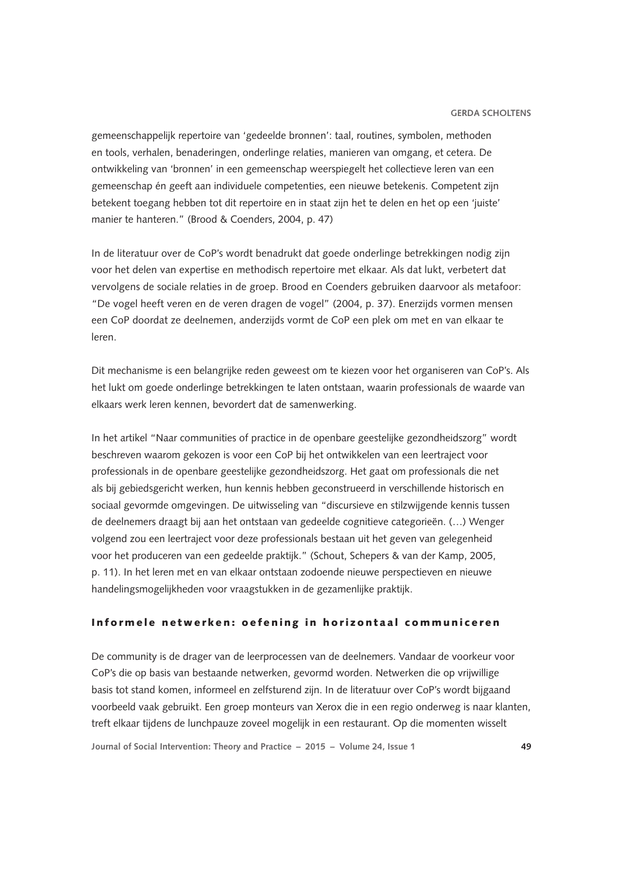gemeenschappelijk repertoire van 'gedeelde bronnen': taal, routines, symbolen, methoden en tools, verhalen, benaderingen, onderlinge relaties, manieren van omgang, et cetera. De ontwikkeling van 'bronnen' in een gemeenschap weerspiegelt het collectieve leren van een gemeenschap én geeft aan individuele competenties, een nieuwe betekenis. Competent zijn betekent toegang hebben tot dit repertoire en in staat zijn het te delen en het op een 'juiste' manier te hanteren." (Brood & Coenders, 2004, p. 47)

In de literatuur over de CoP's wordt benadrukt dat goede onderlinge betrekkingen nodig zijn voor het delen van expertise en methodisch repertoire met elkaar. Als dat lukt, verbetert dat vervolgens de sociale relaties in de groep. Brood en Coenders gebruiken daarvoor als metafoor: "De vogel heeft veren en de veren dragen de vogel" (2004, p. 37). Enerzijds vormen mensen een CoP doordat ze deelnemen, anderzijds vormt de CoP een plek om met en van elkaar te leren.

Dit mechanisme is een belangrijke reden geweest om te kiezen voor het organiseren van CoP's. Als het lukt om goede onderlinge betrekkingen te laten ontstaan, waarin professionals de waarde van elkaars werk leren kennen, bevordert dat de samenwerking.

In het artikel "Naar communities of practice in de openbare geestelijke gezondheidszorg" wordt beschreven waarom gekozen is voor een CoP bij het ontwikkelen van een leertraject voor professionals in de openbare geestelijke gezondheidszorg. Het gaat om professionals die net als bij gebiedsgericht werken, hun kennis hebben geconstrueerd in verschillende historisch en sociaal gevormde omgevingen. De uitwisseling van "discursieve en stilzwijgende kennis tussen de deelnemers draagt bij aan het ontstaan van gedeelde cognitieve categorieën. (…) Wenger volgend zou een leertraject voor deze professionals bestaan uit het geven van gelegenheid voor het produceren van een gedeelde praktijk." (Schout, Schepers & van der Kamp, 2005, p. 11). In het leren met en van elkaar ontstaan zodoende nieuwe perspectieven en nieuwe handelingsmogelijkheden voor vraagstukken in de gezamenlijke praktijk.

# Informele netwerken: oefening in horizontaal communiceren

De community is de drager van de leerprocessen van de deelnemers. Vandaar de voorkeur voor CoP's die op basis van bestaande netwerken, gevormd worden. Netwerken die op vrijwillige basis tot stand komen, informeel en zelfsturend zijn. In de literatuur over CoP's wordt bijgaand voorbeeld vaak gebruikt. Een groep monteurs van Xerox die in een regio onderweg is naar klanten, treft elkaar tijdens de lunchpauze zoveel mogelijk in een restaurant. Op die momenten wisselt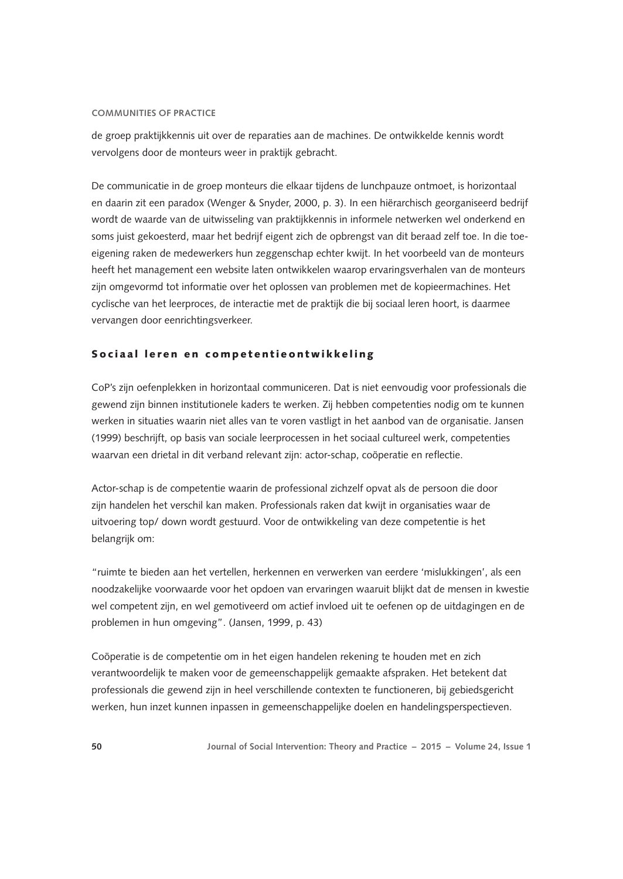de groep praktijkkennis uit over de reparaties aan de machines. De ontwikkelde kennis wordt vervolgens door de monteurs weer in praktijk gebracht.

De communicatie in de groep monteurs die elkaar tijdens de lunchpauze ontmoet, is horizontaal en daarin zit een paradox (Wenger & Snyder, 2000, p. 3). In een hiërarchisch georganiseerd bedrijf wordt de waarde van de uitwisseling van praktijkkennis in informele netwerken wel onderkend en soms juist gekoesterd, maar het bedrijf eigent zich de opbrengst van dit beraad zelf toe. In die toeeigening raken de medewerkers hun zeggenschap echter kwijt. In het voorbeeld van de monteurs heeft het management een website laten ontwikkelen waarop ervaringsverhalen van de monteurs zijn omgevormd tot informatie over het oplossen van problemen met de kopieermachines. Het cyclische van het leerproces, de interactie met de praktijk die bij sociaal leren hoort, is daarmee vervangen door eenrichtingsverkeer.

## Sociaal leren en competentieontwikkeling

CoP's zijn oefenplekken in horizontaal communiceren. Dat is niet eenvoudig voor professionals die gewend zijn binnen institutionele kaders te werken. Zij hebben competenties nodig om te kunnen werken in situaties waarin niet alles van te voren vastligt in het aanbod van de organisatie. Jansen (1999) beschrijft, op basis van sociale leerprocessen in het sociaal cultureel werk, competenties waarvan een drietal in dit verband relevant zijn: actor-schap, coöperatie en reflectie.

Actor-schap is de competentie waarin de professional zichzelf opvat als de persoon die door zijn handelen het verschil kan maken. Professionals raken dat kwijt in organisaties waar de uitvoering top/ down wordt gestuurd. Voor de ontwikkeling van deze competentie is het belangrijk om:

"ruimte te bieden aan het vertellen, herkennen en verwerken van eerdere 'mislukkingen', als een noodzakelijke voorwaarde voor het opdoen van ervaringen waaruit blijkt dat de mensen in kwestie wel competent zijn, en wel gemotiveerd om actief invloed uit te oefenen op de uitdagingen en de problemen in hun omgeving". (Jansen, 1999, p. 43)

Coöperatie is de competentie om in het eigen handelen rekening te houden met en zich verantwoordelijk te maken voor de gemeenschappelijk gemaakte afspraken. Het betekent dat professionals die gewend zijn in heel verschillende contexten te functioneren, bij gebiedsgericht werken, hun inzet kunnen inpassen in gemeenschappelijke doelen en handelingsperspectieven.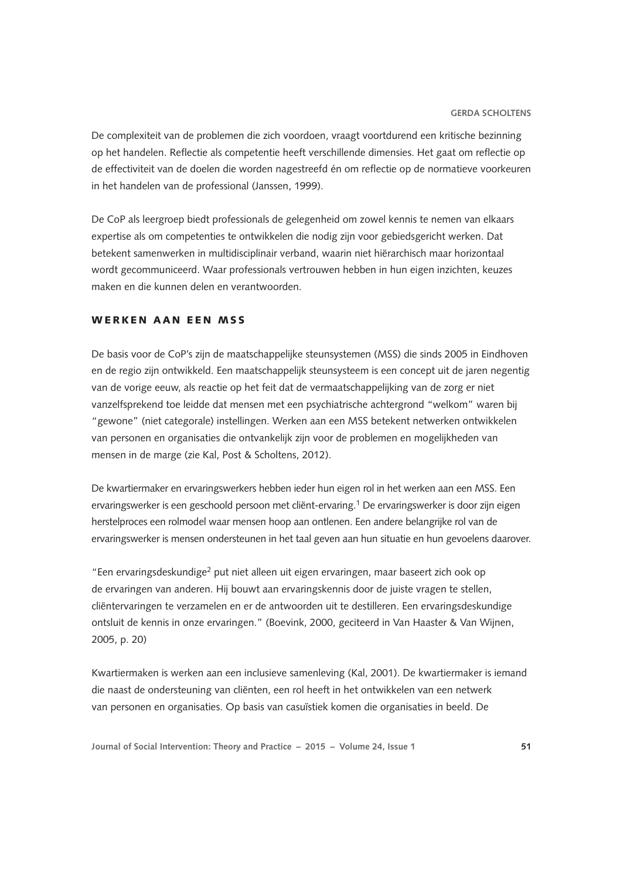De complexiteit van de problemen die zich voordoen, vraagt voortdurend een kritische bezinning op het handelen. Reflectie als competentie heeft verschillende dimensies. Het gaat om reflectie op de effectiviteit van de doelen die worden nagestreefd én om reflectie op de normatieve voorkeuren in het handelen van de professional (Janssen, 1999).

De CoP als leergroep biedt professionals de gelegenheid om zowel kennis te nemen van elkaars expertise als om competenties te ontwikkelen die nodig zijn voor gebiedsgericht werken. Dat betekent samenwerken in multidisciplinair verband, waarin niet hiërarchisch maar horizontaal wordt gecommuniceerd. Waar professionals vertrouwen hebben in hun eigen inzichten, keuzes maken en die kunnen delen en verantwoorden.

## WERKEN AAN EEN MSS

De basis voor de CoP's zijn de maatschappelijke steunsystemen (MSS) die sinds 2005 in Eindhoven en de regio zijn ontwikkeld. Een maatschappelijk steunsysteem is een concept uit de jaren negentig van de vorige eeuw, als reactie op het feit dat de vermaatschappelijking van de zorg er niet vanzelfsprekend toe leidde dat mensen met een psychiatrische achtergrond "welkom" waren bij "gewone" (niet categorale) instellingen. Werken aan een MSS betekent netwerken ontwikkelen van personen en organisaties die ontvankelijk zijn voor de problemen en mogelijkheden van mensen in de marge (zie Kal, Post & Scholtens, 2012).

De kwartiermaker en ervaringswerkers hebben ieder hun eigen rol in het werken aan een MSS. Een ervaringswerker is een geschoold persoon met cliënt-ervaring.1 De ervaringswerker is door zijn eigen herstelproces een rolmodel waar mensen hoop aan ontlenen. Een andere belangrijke rol van de ervaringswerker is mensen ondersteunen in het taal geven aan hun situatie en hun gevoelens daarover.

"Een ervaringsdeskundige2 put niet alleen uit eigen ervaringen, maar baseert zich ook op de ervaringen van anderen. Hij bouwt aan ervaringskennis door de juiste vragen te stellen, cliëntervaringen te verzamelen en er de antwoorden uit te destilleren. Een ervaringsdeskundige ontsluit de kennis in onze ervaringen." (Boevink, 2000, geciteerd in Van Haaster & Van Wijnen, 2005, p. 20)

Kwartiermaken is werken aan een inclusieve samenleving (Kal, 2001). De kwartiermaker is iemand die naast de ondersteuning van cliënten, een rol heeft in het ontwikkelen van een netwerk van personen en organisaties. Op basis van casuïstiek komen die organisaties in beeld. De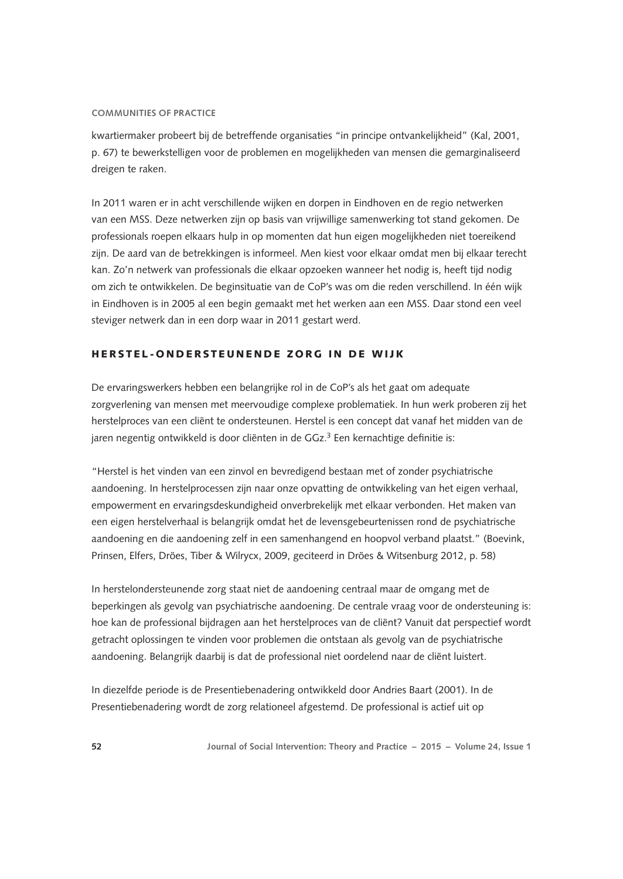kwartiermaker probeert bij de betreffende organisaties "in principe ontvankelijkheid" (Kal, 2001, p. 67) te bewerkstelligen voor de problemen en mogelijkheden van mensen die gemarginaliseerd dreigen te raken.

In 2011 waren er in acht verschillende wijken en dorpen in Eindhoven en de regio netwerken van een MSS. Deze netwerken zijn op basis van vrijwillige samenwerking tot stand gekomen. De professionals roepen elkaars hulp in op momenten dat hun eigen mogelijkheden niet toereikend zijn. De aard van de betrekkingen is informeel. Men kiest voor elkaar omdat men bij elkaar terecht kan. Zo'n netwerk van professionals die elkaar opzoeken wanneer het nodig is, heeft tijd nodig om zich te ontwikkelen. De beginsituatie van de CoP's was om die reden verschillend. In één wijk in Eindhoven is in 2005 al een begin gemaakt met het werken aan een MSS. Daar stond een veel steviger netwerk dan in een dorp waar in 2011 gestart werd.

# HERSTEL-ONDERSTEUNENDE ZORG IN DE WIJK

De ervaringswerkers hebben een belangrijke rol in de CoP's als het gaat om adequate zorgverlening van mensen met meervoudige complexe problematiek. In hun werk proberen zij het herstelproces van een cliënt te ondersteunen. Herstel is een concept dat vanaf het midden van de jaren negentig ontwikkeld is door cliënten in de GGz.<sup>3</sup> Een kernachtige definitie is:

"Herstel is het vinden van een zinvol en bevredigend bestaan met of zonder psychiatrische aandoening. In herstelprocessen zijn naar onze opvatting de ontwikkeling van het eigen verhaal, empowerment en ervaringsdeskundigheid onverbrekelijk met elkaar verbonden. Het maken van een eigen herstelverhaal is belangrijk omdat het de levensgebeurtenissen rond de psychiatrische aandoening en die aandoening zelf in een samenhangend en hoopvol verband plaatst." (Boevink, Prinsen, Elfers, Dröes, Tiber & Wilrycx, 2009, geciteerd in Dröes & Witsenburg 2012, p. 58)

In herstelondersteunende zorg staat niet de aandoening centraal maar de omgang met de beperkingen als gevolg van psychiatrische aandoening. De centrale vraag voor de ondersteuning is: hoe kan de professional bijdragen aan het herstelproces van de cliënt? Vanuit dat perspectief wordt getracht oplossingen te vinden voor problemen die ontstaan als gevolg van de psychiatrische aandoening. Belangrijk daarbij is dat de professional niet oordelend naar de cliënt luistert.

In diezelfde periode is de Presentiebenadering ontwikkeld door Andries Baart (2001). In de Presentiebenadering wordt de zorg relationeel afgestemd. De professional is actief uit op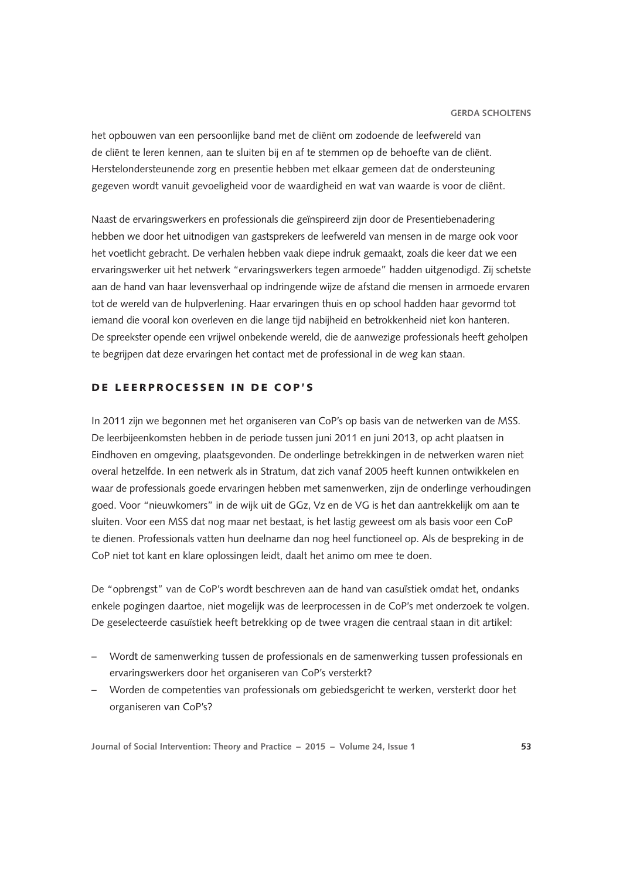het opbouwen van een persoonlijke band met de cliënt om zodoende de leefwereld van de cliënt te leren kennen, aan te sluiten bij en af te stemmen op de behoefte van de cliënt. Herstelondersteunende zorg en presentie hebben met elkaar gemeen dat de ondersteuning gegeven wordt vanuit gevoeligheid voor de waardigheid en wat van waarde is voor de cliënt.

Naast de ervaringswerkers en professionals die geïnspireerd zijn door de Presentiebenadering hebben we door het uitnodigen van gastsprekers de leefwereld van mensen in de marge ook voor het voetlicht gebracht. De verhalen hebben vaak diepe indruk gemaakt, zoals die keer dat we een ervaringswerker uit het netwerk "ervaringswerkers tegen armoede" hadden uitgenodigd. Zij schetste aan de hand van haar levensverhaal op indringende wijze de afstand die mensen in armoede ervaren tot de wereld van de hulpverlening. Haar ervaringen thuis en op school hadden haar gevormd tot iemand die vooral kon overleven en die lange tijd nabijheid en betrokkenheid niet kon hanteren. De spreekster opende een vrijwel onbekende wereld, die de aanwezige professionals heeft geholpen te begrijpen dat deze ervaringen het contact met de professional in de weg kan staan.

# DE LEERPROCESSEN IN DE COP'S

In 2011 zijn we begonnen met het organiseren van CoP's op basis van de netwerken van de MSS. De leerbijeenkomsten hebben in de periode tussen juni 2011 en juni 2013, op acht plaatsen in Eindhoven en omgeving, plaatsgevonden. De onderlinge betrekkingen in de netwerken waren niet overal hetzelfde. In een netwerk als in Stratum, dat zich vanaf 2005 heeft kunnen ontwikkelen en waar de professionals goede ervaringen hebben met samenwerken, zijn de onderlinge verhoudingen goed. Voor "nieuwkomers" in de wijk uit de GGz, Vz en de VG is het dan aantrekkelijk om aan te sluiten. Voor een MSS dat nog maar net bestaat, is het lastig geweest om als basis voor een CoP te dienen. Professionals vatten hun deelname dan nog heel functioneel op. Als de bespreking in de CoP niet tot kant en klare oplossingen leidt, daalt het animo om mee te doen.

De "opbrengst" van de CoP's wordt beschreven aan de hand van casuïstiek omdat het, ondanks enkele pogingen daartoe, niet mogelijk was de leerprocessen in de CoP's met onderzoek te volgen. De geselecteerde casuïstiek heeft betrekking op de twee vragen die centraal staan in dit artikel:

- Wordt de samenwerking tussen de professionals en de samenwerking tussen professionals en ervaringswerkers door het organiseren van CoP's versterkt?
- Worden de competenties van professionals om gebiedsgericht te werken, versterkt door het organiseren van CoP's?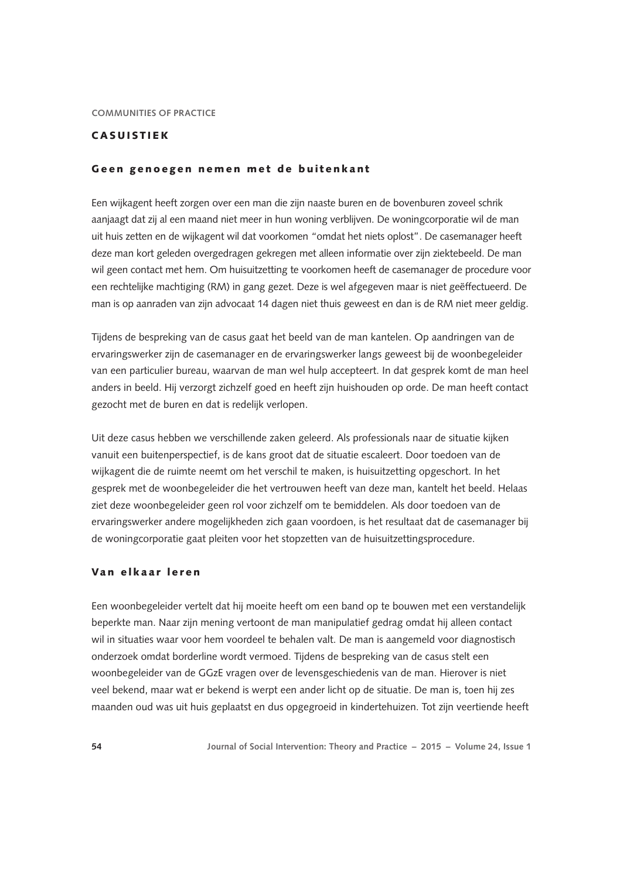# CASUISTIEK

#### Geen genoegen nemen met de buitenkant

Een wijkagent heeft zorgen over een man die zijn naaste buren en de bovenburen zoveel schrik aanjaagt dat zij al een maand niet meer in hun woning verblijven. De woningcorporatie wil de man uit huis zetten en de wijkagent wil dat voorkomen "omdat het niets oplost". De casemanager heeft deze man kort geleden overgedragen gekregen met alleen informatie over zijn ziektebeeld. De man wil geen contact met hem. Om huisuitzetting te voorkomen heeft de casemanager de procedure voor een rechtelijke machtiging (RM) in gang gezet. Deze is wel afgegeven maar is niet geëffectueerd. De man is op aanraden van zijn advocaat 14 dagen niet thuis geweest en dan is de RM niet meer geldig.

Tijdens de bespreking van de casus gaat het beeld van de man kantelen. Op aandringen van de ervaringswerker zijn de casemanager en de ervaringswerker langs geweest bij de woonbegeleider van een particulier bureau, waarvan de man wel hulp accepteert. In dat gesprek komt de man heel anders in beeld. Hij verzorgt zichzelf goed en heeft zijn huishouden op orde. De man heeft contact gezocht met de buren en dat is redelijk verlopen.

Uit deze casus hebben we verschillende zaken geleerd. Als professionals naar de situatie kijken vanuit een buitenperspectief, is de kans groot dat de situatie escaleert. Door toedoen van de wijkagent die de ruimte neemt om het verschil te maken, is huisuitzetting opgeschort. In het gesprek met de woonbegeleider die het vertrouwen heeft van deze man, kantelt het beeld. Helaas ziet deze woonbegeleider geen rol voor zichzelf om te bemiddelen. Als door toedoen van de ervaringswerker andere mogelijkheden zich gaan voordoen, is het resultaat dat de casemanager bij de woningcorporatie gaat pleiten voor het stopzetten van de huisuitzettingsprocedure.

## Van elkaar leren

Een woonbegeleider vertelt dat hij moeite heeft om een band op te bouwen met een verstandelijk beperkte man. Naar zijn mening vertoont de man manipulatief gedrag omdat hij alleen contact wil in situaties waar voor hem voordeel te behalen valt. De man is aangemeld voor diagnostisch onderzoek omdat borderline wordt vermoed. Tijdens de bespreking van de casus stelt een woonbegeleider van de GGzE vragen over de levensgeschiedenis van de man. Hierover is niet veel bekend, maar wat er bekend is werpt een ander licht op de situatie. De man is, toen hij zes maanden oud was uit huis geplaatst en dus opgegroeid in kindertehuizen. Tot zijn veertiende heeft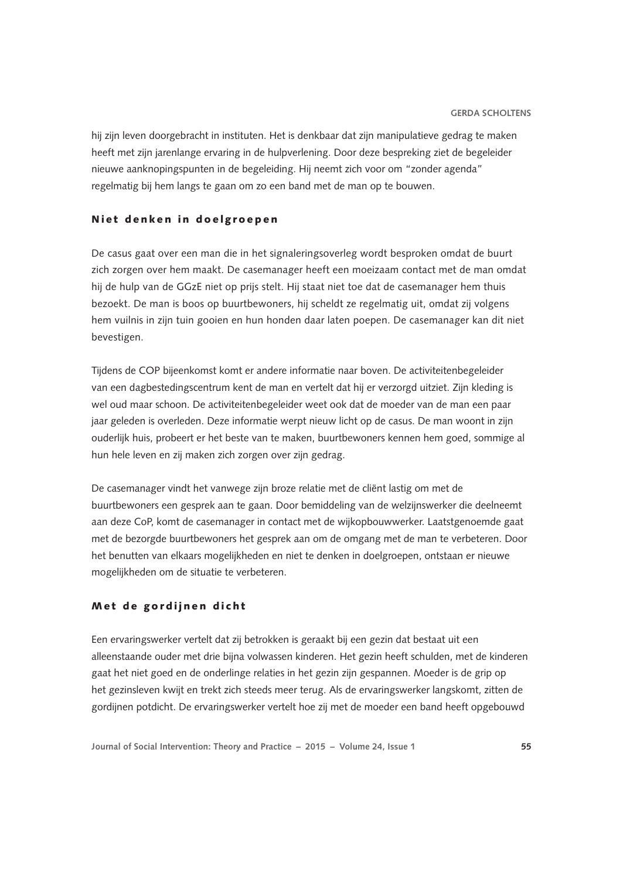hij zijn leven doorgebracht in instituten. Het is denkbaar dat zijn manipulatieve gedrag te maken heeft met zijn jarenlange ervaring in de hulpverlening. Door deze bespreking ziet de begeleider nieuwe aanknopingspunten in de begeleiding. Hij neemt zich voor om "zonder agenda" regelmatig bij hem langs te gaan om zo een band met de man op te bouwen.

## Niet denken in doelgroepen

De casus gaat over een man die in het signaleringsoverleg wordt besproken omdat de buurt zich zorgen over hem maakt. De casemanager heeft een moeizaam contact met de man omdat hij de hulp van de GGzE niet op prijs stelt. Hij staat niet toe dat de casemanager hem thuis bezoekt. De man is boos op buurtbewoners, hij scheldt ze regelmatig uit, omdat zij volgens hem vuilnis in zijn tuin gooien en hun honden daar laten poepen. De casemanager kan dit niet bevestigen.

Tijdens de COP bijeenkomst komt er andere informatie naar boven. De activiteitenbegeleider van een dagbestedingscentrum kent de man en vertelt dat hij er verzorgd uitziet. Zijn kleding is wel oud maar schoon. De activiteitenbegeleider weet ook dat de moeder van de man een paar jaar geleden is overleden. Deze informatie werpt nieuw licht op de casus. De man woont in zijn ouderlijk huis, probeert er het beste van te maken, buurtbewoners kennen hem goed, sommige al hun hele leven en zij maken zich zorgen over zijn gedrag.

De casemanager vindt het vanwege zijn broze relatie met de cliënt lastig om met de buurtbewoners een gesprek aan te gaan. Door bemiddeling van de welzijnswerker die deelneemt aan deze CoP, komt de casemanager in contact met de wijkopbouwwerker. Laatstgenoemde gaat met de bezorgde buurtbewoners het gesprek aan om de omgang met de man te verbeteren. Door het benutten van elkaars mogelijkheden en niet te denken in doelgroepen, ontstaan er nieuwe mogelijkheden om de situatie te verbeteren.

## Met de gordijnen dicht

Een ervaringswerker vertelt dat zij betrokken is geraakt bij een gezin dat bestaat uit een alleenstaande ouder met drie bijna volwassen kinderen. Het gezin heeft schulden, met de kinderen gaat het niet goed en de onderlinge relaties in het gezin zijn gespannen. Moeder is de grip op het gezinsleven kwijt en trekt zich steeds meer terug. Als de ervaringswerker langskomt, zitten de gordijnen potdicht. De ervaringswerker vertelt hoe zij met de moeder een band heeft opgebouwd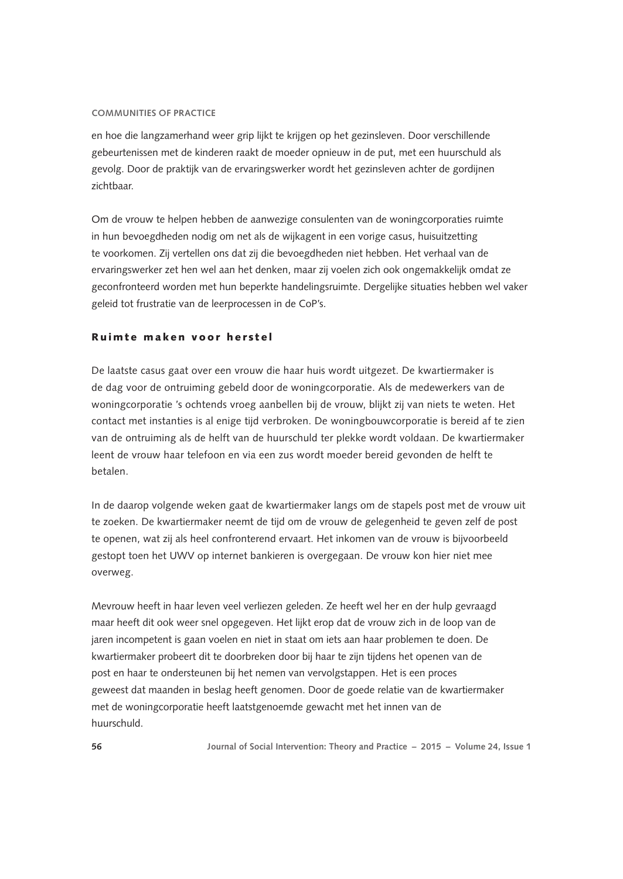en hoe die langzamerhand weer grip lijkt te krijgen op het gezinsleven. Door verschillende gebeurtenissen met de kinderen raakt de moeder opnieuw in de put, met een huurschuld als gevolg. Door de praktijk van de ervaringswerker wordt het gezinsleven achter de gordijnen zichtbaar.

Om de vrouw te helpen hebben de aanwezige consulenten van de woningcorporaties ruimte in hun bevoegdheden nodig om net als de wijkagent in een vorige casus, huisuitzetting te voorkomen. Zij vertellen ons dat zij die bevoegdheden niet hebben. Het verhaal van de ervaringswerker zet hen wel aan het denken, maar zij voelen zich ook ongemakkelijk omdat ze geconfronteerd worden met hun beperkte handelingsruimte. Dergelijke situaties hebben wel vaker geleid tot frustratie van de leerprocessen in de CoP's.

## Ruimte maken voor herstel

De laatste casus gaat over een vrouw die haar huis wordt uitgezet. De kwartiermaker is de dag voor de ontruiming gebeld door de woningcorporatie. Als de medewerkers van de woningcorporatie 's ochtends vroeg aanbellen bij de vrouw, blijkt zij van niets te weten. Het contact met instanties is al enige tijd verbroken. De woningbouwcorporatie is bereid af te zien van de ontruiming als de helft van de huurschuld ter plekke wordt voldaan. De kwartiermaker leent de vrouw haar telefoon en via een zus wordt moeder bereid gevonden de helft te betalen.

In de daarop volgende weken gaat de kwartiermaker langs om de stapels post met de vrouw uit te zoeken. De kwartiermaker neemt de tijd om de vrouw de gelegenheid te geven zelf de post te openen, wat zij als heel confronterend ervaart. Het inkomen van de vrouw is bijvoorbeeld gestopt toen het UWV op internet bankieren is overgegaan. De vrouw kon hier niet mee overweg.

Mevrouw heeft in haar leven veel verliezen geleden. Ze heeft wel her en der hulp gevraagd maar heeft dit ook weer snel opgegeven. Het lijkt erop dat de vrouw zich in de loop van de jaren incompetent is gaan voelen en niet in staat om iets aan haar problemen te doen. De kwartiermaker probeert dit te doorbreken door bij haar te zijn tijdens het openen van de post en haar te ondersteunen bij het nemen van vervolgstappen. Het is een proces geweest dat maanden in beslag heeft genomen. Door de goede relatie van de kwartiermaker met de woningcorporatie heeft laatstgenoemde gewacht met het innen van de huurschuld.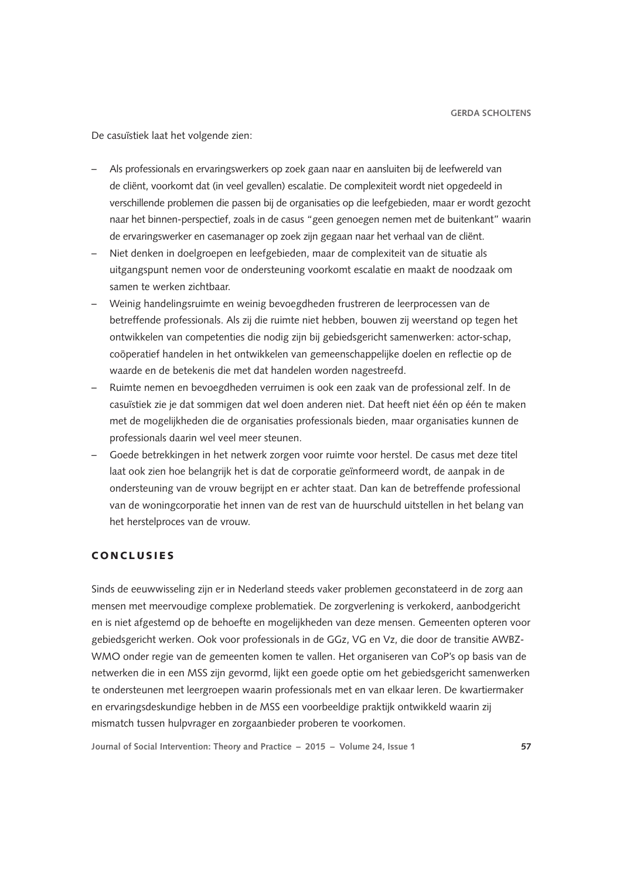De casuïstiek laat het volgende zien:

- Als professionals en ervaringswerkers op zoek gaan naar en aansluiten bij de leefwereld van de cliënt, voorkomt dat (in veel gevallen) escalatie. De complexiteit wordt niet opgedeeld in verschillende problemen die passen bij de organisaties op die leefgebieden, maar er wordt gezocht naar het binnen-perspectief, zoals in de casus "geen genoegen nemen met de buitenkant" waarin de ervaringswerker en casemanager op zoek zijn gegaan naar het verhaal van de cliënt.
- Niet denken in doelgroepen en leefgebieden, maar de complexiteit van de situatie als uitgangspunt nemen voor de ondersteuning voorkomt escalatie en maakt de noodzaak om samen te werken zichtbaar.
- Weinig handelingsruimte en weinig bevoegdheden frustreren de leerprocessen van de betreffende professionals. Als zij die ruimte niet hebben, bouwen zij weerstand op tegen het ontwikkelen van competenties die nodig zijn bij gebiedsgericht samenwerken: actor-schap, coöperatief handelen in het ontwikkelen van gemeenschappelijke doelen en reflectie op de waarde en de betekenis die met dat handelen worden nagestreefd.
- Ruimte nemen en bevoegdheden verruimen is ook een zaak van de professional zelf. In de casuïstiek zie je dat sommigen dat wel doen anderen niet. Dat heeft niet één op één te maken met de mogelijkheden die de organisaties professionals bieden, maar organisaties kunnen de professionals daarin wel veel meer steunen.
- Goede betrekkingen in het netwerk zorgen voor ruimte voor herstel. De casus met deze titel laat ook zien hoe belangrijk het is dat de corporatie geïnformeerd wordt, de aanpak in de ondersteuning van de vrouw begrijpt en er achter staat. Dan kan de betreffende professional van de woningcorporatie het innen van de rest van de huurschuld uitstellen in het belang van het herstelproces van de vrouw.

# **CONCLUSIES**

Sinds de eeuwwisseling zijn er in Nederland steeds vaker problemen geconstateerd in de zorg aan mensen met meervoudige complexe problematiek. De zorgverlening is verkokerd, aanbodgericht en is niet afgestemd op de behoefte en mogelijkheden van deze mensen. Gemeenten opteren voor gebiedsgericht werken. Ook voor professionals in de GGz, VG en Vz, die door de transitie AWBZ-WMO onder regie van de gemeenten komen te vallen. Het organiseren van CoP's op basis van de netwerken die in een MSS zijn gevormd, lijkt een goede optie om het gebiedsgericht samenwerken te ondersteunen met leergroepen waarin professionals met en van elkaar leren. De kwartiermaker en ervaringsdeskundige hebben in de MSS een voorbeeldige praktijk ontwikkeld waarin zij mismatch tussen hulpvrager en zorgaanbieder proberen te voorkomen.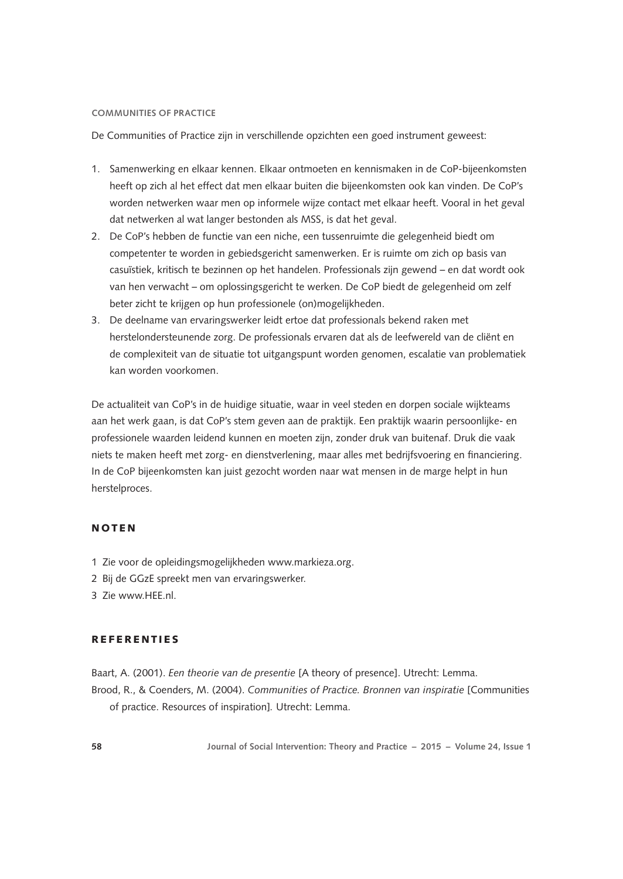De Communities of Practice zijn in verschillende opzichten een goed instrument geweest:

- 1. Samenwerking en elkaar kennen. Elkaar ontmoeten en kennismaken in de CoP-bijeenkomsten heeft op zich al het effect dat men elkaar buiten die bijeenkomsten ook kan vinden. De CoP's worden netwerken waar men op informele wijze contact met elkaar heeft. Vooral in het geval dat netwerken al wat langer bestonden als MSS, is dat het geval.
- 2. De CoP's hebben de functie van een niche, een tussenruimte die gelegenheid biedt om competenter te worden in gebiedsgericht samenwerken. Er is ruimte om zich op basis van casuïstiek, kritisch te bezinnen op het handelen. Professionals zijn gewend – en dat wordt ook van hen verwacht – om oplossingsgericht te werken. De CoP biedt de gelegenheid om zelf beter zicht te krijgen op hun professionele (on)mogelijkheden.
- 3. De deelname van ervaringswerker leidt ertoe dat professionals bekend raken met herstelondersteunende zorg. De professionals ervaren dat als de leefwereld van de cliënt en de complexiteit van de situatie tot uitgangspunt worden genomen, escalatie van problematiek kan worden voorkomen.

De actualiteit van CoP's in de huidige situatie, waar in veel steden en dorpen sociale wijkteams aan het werk gaan, is dat CoP's stem geven aan de praktijk. Een praktijk waarin persoonlijke- en professionele waarden leidend kunnen en moeten zijn, zonder druk van buitenaf. Druk die vaak niets te maken heeft met zorg- en dienstverlening, maar alles met bedrijfsvoering en financiering. In de CoP bijeenkomsten kan juist gezocht worden naar wat mensen in de marge helpt in hun herstelproces.

#### NOTEN

- 1 Zie voor de opleidingsmogelijkheden www.markieza.org.
- 2 Bij de GGzE spreekt men van ervaringswerker.
- 3 Zie [www.HEE.nl](http://www.HEE.nl).

## REFERENTIES

Baart, A. (2001). *Een theorie van de presentie* [A theory of presence]. Utrecht: Lemma. Brood, R., & Coenders, M. (2004). *Communities of Practice. Bronnen van inspiratie* [Communities of practice. Resources of inspiration]*.* Utrecht: Lemma.